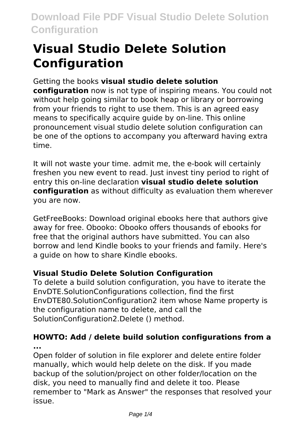# **Visual Studio Delete Solution Configuration**

# Getting the books **visual studio delete solution**

**configuration** now is not type of inspiring means. You could not without help going similar to book heap or library or borrowing from your friends to right to use them. This is an agreed easy means to specifically acquire guide by on-line. This online pronouncement visual studio delete solution configuration can be one of the options to accompany you afterward having extra time.

It will not waste your time. admit me, the e-book will certainly freshen you new event to read. Just invest tiny period to right of entry this on-line declaration **visual studio delete solution configuration** as without difficulty as evaluation them wherever you are now.

GetFreeBooks: Download original ebooks here that authors give away for free. Obooko: Obooko offers thousands of ebooks for free that the original authors have submitted. You can also borrow and lend Kindle books to your friends and family. Here's a guide on how to share Kindle ebooks.

# **Visual Studio Delete Solution Configuration**

To delete a build solution configuration, you have to iterate the EnvDTE.SolutionConfigurations collection, find the first EnvDTE80.SolutionConfiguration2 item whose Name property is the configuration name to delete, and call the SolutionConfiguration2.Delete () method.

# **HOWTO: Add / delete build solution configurations from a ...**

Open folder of solution in file explorer and delete entire folder manually, which would help delete on the disk. If you made backup of the solution/project on other folder/location on the disk, you need to manually find and delete it too. Please remember to "Mark as Answer" the responses that resolved your issue.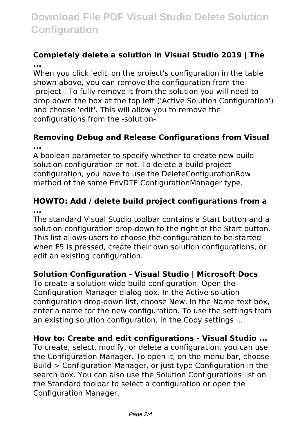# **Download File PDF Visual Studio Delete Solution Configuration**

### **Completely delete a solution in Visual Studio 2019 | The ...**

When you click 'edit' on the project's configuration in the table shown above, you can remove the configuration from the -project-. To fully remove it from the solution you will need to drop down the box at the top left ('Active Solution Configuration') and choose 'edit'. This will allow you to remove the configurations from the -solution-.

### **Removing Debug and Release Configurations from Visual ...**

A boolean parameter to specify whether to create new build solution configuration or not. To delete a build project configuration, you have to use the DeleteConfigurationRow method of the same EnvDTE.ConfigurationManager type.

### **HOWTO: Add / delete build project configurations from a ...**

The standard Visual Studio toolbar contains a Start button and a solution configuration drop-down to the right of the Start button. This list allows users to choose the configuration to be started when F5 is pressed, create their own solution configurations, or edit an existing configuration.

## **Solution Configuration - Visual Studio | Microsoft Docs**

To create a solution-wide build configuration. Open the Configuration Manager dialog box. In the Active solution configuration drop-down list, choose New. In the Name text box, enter a name for the new configuration. To use the settings from an existing solution configuration, in the Copy settings ...

#### **How to: Create and edit configurations - Visual Studio ...**

To create, select, modify, or delete a configuration, you can use the Configuration Manager. To open it, on the menu bar, choose Build > Configuration Manager, or just type Configuration in the search box. You can also use the Solution Configurations list on the Standard toolbar to select a configuration or open the Configuration Manager.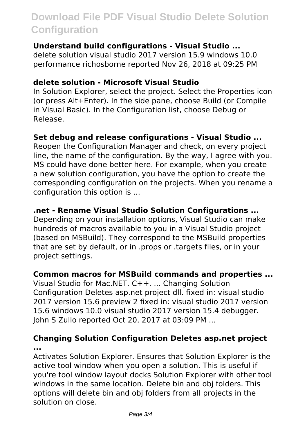# **Download File PDF Visual Studio Delete Solution Configuration**

#### **Understand build configurations - Visual Studio ...**

delete solution visual studio 2017 version 15.9 windows 10.0 performance richosborne reported Nov 26, 2018 at 09:25 PM

#### **delete solution - Microsoft Visual Studio**

In Solution Explorer, select the project. Select the Properties icon (or press Alt+Enter). In the side pane, choose Build (or Compile in Visual Basic). In the Configuration list, choose Debug or Release.

#### **Set debug and release configurations - Visual Studio ...**

Reopen the Configuration Manager and check, on every project line, the name of the configuration. By the way, I agree with you. MS could have done better here. For example, when you create a new solution configuration, you have the option to create the corresponding configuration on the projects. When you rename a configuration this option is ...

#### **.net - Rename Visual Studio Solution Configurations ...**

Depending on your installation options, Visual Studio can make hundreds of macros available to you in a Visual Studio project (based on MSBuild). They correspond to the MSBuild properties that are set by default, or in .props or .targets files, or in your project settings.

#### **Common macros for MSBuild commands and properties ...**

Visual Studio for Mac.NET. C++. ... Changing Solution Configuration Deletes asp.net project dll. fixed in: visual studio 2017 version 15.6 preview 2 fixed in: visual studio 2017 version 15.6 windows 10.0 visual studio 2017 version 15.4 debugger. John S Zullo reported Oct 20, 2017 at 03:09 PM ...

#### **Changing Solution Configuration Deletes asp.net project ...**

Activates Solution Explorer. Ensures that Solution Explorer is the active tool window when you open a solution. This is useful if you're tool window layout docks Solution Explorer with other tool windows in the same location. Delete bin and obj folders. This options will delete bin and obj folders from all projects in the solution on close.